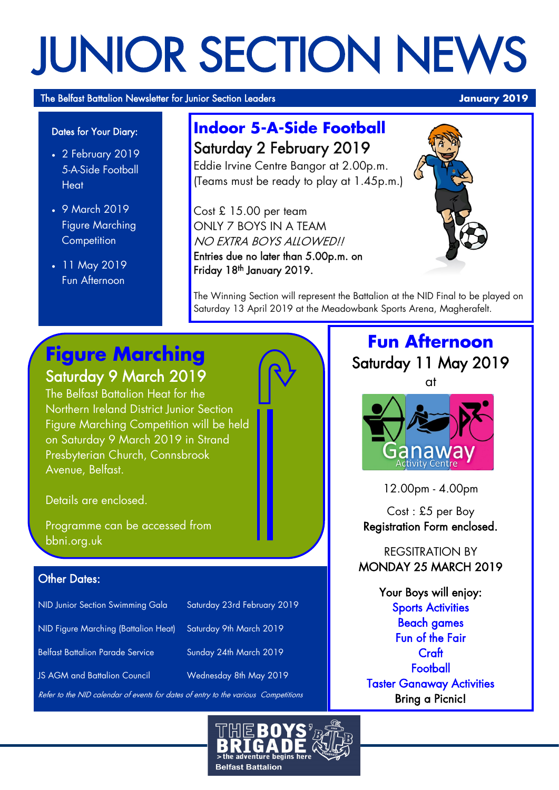# JUNIOR SECTION NEWS

The Belfast Battalion Newsletter for Junior Section Leaders **January 2019 January 2019** 

#### Dates for Your Diary:

- 2 February 2019 5-A-Side Football **Heat**
- 9 March 2019 Figure Marching **Competition**
- 11 May 2019 Fun Afternoon

# **Indoor 5-A-Side Football** Saturday 2 February 2019

Eddie Irvine Centre Bangor at 2.00p.m. (Teams must be ready to play at 1.45p.m.)

Cost £ 15.00 per team ONLY 7 BOYS IN A TEAM NO EXTRA BOYS ALLOWED!! Entries due no later than 5.00p.m. on Friday 18<sup>th</sup> January 2019.



The Winning Section will represent the Battalion at the NID Final to be played on Saturday 13 April 2019 at the Meadowbank Sports Arena, Magherafelt.

# **Figure Marching** Saturday 9 March 2019

The Belfast Battalion Heat for the Northern Ireland District Junior Section Figure Marching Competition will be held on Saturday 9 March 2019 in Strand Presbyterian Church, Connsbrook Avenue, Belfast.

Details are enclosed.

Programme can be accessed from bbni.org.uk

### **Other Dates:**

| NID Junior Section Swimming Gala        | Saturday 23rd February 2019 |
|-----------------------------------------|-----------------------------|
| NID Figure Marching (Battalion Heat)    | Saturday 9th March 2019     |
| <b>Belfast Battalion Parade Service</b> | Sunday 24th March 2019      |
| <b>JS AGM and Battalion Council</b>     | Wednesday 8th May 2019      |
|                                         |                             |

efer to the NID calendar of events for dates of entry to the var

**Fun Afternoon**







12.00pm - 4.00pm

Cost : £5 per Boy Registration Form enclosed.

REGSITRATION BY MONDAY 25 MARCH 2019

Your Boys will enjoy: Sports Activities Beach games Fun of the Fair Craft **Football** Taster Ganaway Activities Bring a Picnic!